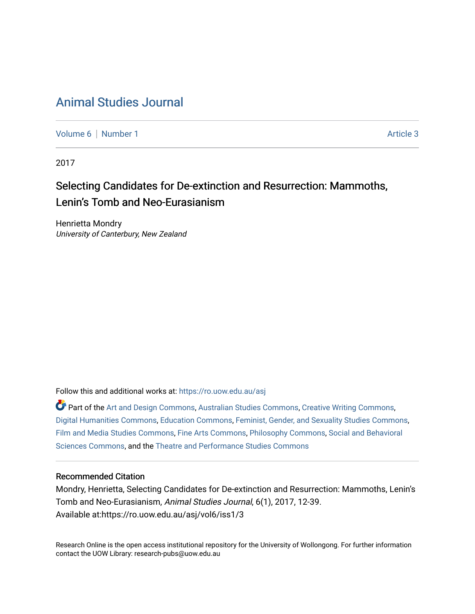## [Animal Studies Journal](https://ro.uow.edu.au/asj)

[Volume 6](https://ro.uow.edu.au/asj/vol6) | [Number 1](https://ro.uow.edu.au/asj/vol6/iss1) Article 3

2017

# Selecting Candidates for De-extinction and Resurrection: Mammoths, Lenin's Tomb and Neo-Eurasianism

Henrietta Mondry University of Canterbury, New Zealand

Follow this and additional works at: [https://ro.uow.edu.au/asj](https://ro.uow.edu.au/asj?utm_source=ro.uow.edu.au%2Fasj%2Fvol6%2Fiss1%2F3&utm_medium=PDF&utm_campaign=PDFCoverPages) 

Part of the [Art and Design Commons](http://network.bepress.com/hgg/discipline/1049?utm_source=ro.uow.edu.au%2Fasj%2Fvol6%2Fiss1%2F3&utm_medium=PDF&utm_campaign=PDFCoverPages), [Australian Studies Commons,](http://network.bepress.com/hgg/discipline/1020?utm_source=ro.uow.edu.au%2Fasj%2Fvol6%2Fiss1%2F3&utm_medium=PDF&utm_campaign=PDFCoverPages) [Creative Writing Commons](http://network.bepress.com/hgg/discipline/574?utm_source=ro.uow.edu.au%2Fasj%2Fvol6%2Fiss1%2F3&utm_medium=PDF&utm_campaign=PDFCoverPages), [Digital Humanities Commons](http://network.bepress.com/hgg/discipline/1286?utm_source=ro.uow.edu.au%2Fasj%2Fvol6%2Fiss1%2F3&utm_medium=PDF&utm_campaign=PDFCoverPages), [Education Commons,](http://network.bepress.com/hgg/discipline/784?utm_source=ro.uow.edu.au%2Fasj%2Fvol6%2Fiss1%2F3&utm_medium=PDF&utm_campaign=PDFCoverPages) [Feminist, Gender, and Sexuality Studies Commons,](http://network.bepress.com/hgg/discipline/559?utm_source=ro.uow.edu.au%2Fasj%2Fvol6%2Fiss1%2F3&utm_medium=PDF&utm_campaign=PDFCoverPages) [Film and Media Studies Commons,](http://network.bepress.com/hgg/discipline/563?utm_source=ro.uow.edu.au%2Fasj%2Fvol6%2Fiss1%2F3&utm_medium=PDF&utm_campaign=PDFCoverPages) [Fine Arts Commons](http://network.bepress.com/hgg/discipline/1141?utm_source=ro.uow.edu.au%2Fasj%2Fvol6%2Fiss1%2F3&utm_medium=PDF&utm_campaign=PDFCoverPages), [Philosophy Commons](http://network.bepress.com/hgg/discipline/525?utm_source=ro.uow.edu.au%2Fasj%2Fvol6%2Fiss1%2F3&utm_medium=PDF&utm_campaign=PDFCoverPages), [Social and Behavioral](http://network.bepress.com/hgg/discipline/316?utm_source=ro.uow.edu.au%2Fasj%2Fvol6%2Fiss1%2F3&utm_medium=PDF&utm_campaign=PDFCoverPages) [Sciences Commons,](http://network.bepress.com/hgg/discipline/316?utm_source=ro.uow.edu.au%2Fasj%2Fvol6%2Fiss1%2F3&utm_medium=PDF&utm_campaign=PDFCoverPages) and the [Theatre and Performance Studies Commons](http://network.bepress.com/hgg/discipline/552?utm_source=ro.uow.edu.au%2Fasj%2Fvol6%2Fiss1%2F3&utm_medium=PDF&utm_campaign=PDFCoverPages)

#### Recommended Citation

Mondry, Henrietta, Selecting Candidates for De-extinction and Resurrection: Mammoths, Lenin's Tomb and Neo-Eurasianism, Animal Studies Journal, 6(1), 2017, 12-39. Available at:https://ro.uow.edu.au/asj/vol6/iss1/3

Research Online is the open access institutional repository for the University of Wollongong. For further information contact the UOW Library: research-pubs@uow.edu.au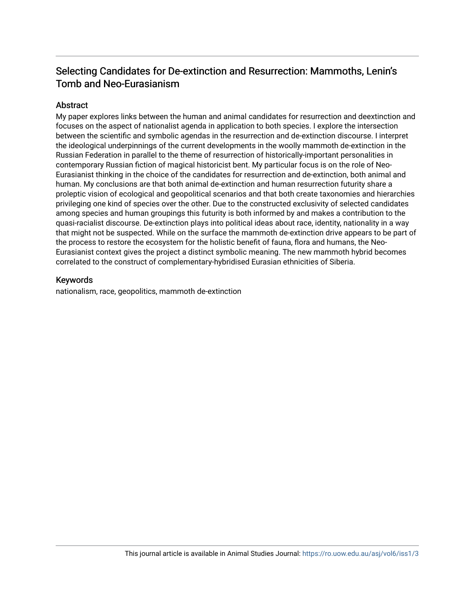## Selecting Candidates for De-extinction and Resurrection: Mammoths, Lenin's Tomb and Neo-Eurasianism

## Abstract

My paper explores links between the human and animal candidates for resurrection and deextinction and focuses on the aspect of nationalist agenda in application to both species. I explore the intersection between the scientific and symbolic agendas in the resurrection and de-extinction discourse. I interpret the ideological underpinnings of the current developments in the woolly mammoth de-extinction in the Russian Federation in parallel to the theme of resurrection of historically-important personalities in contemporary Russian fiction of magical historicist bent. My particular focus is on the role of Neo-Eurasianist thinking in the choice of the candidates for resurrection and de-extinction, both animal and human. My conclusions are that both animal de-extinction and human resurrection futurity share a proleptic vision of ecological and geopolitical scenarios and that both create taxonomies and hierarchies privileging one kind of species over the other. Due to the constructed exclusivity of selected candidates among species and human groupings this futurity is both informed by and makes a contribution to the quasi-racialist discourse. De-extinction plays into political ideas about race, identity, nationality in a way that might not be suspected. While on the surface the mammoth de-extinction drive appears to be part of the process to restore the ecosystem for the holistic benefit of fauna, flora and humans, the Neo-Eurasianist context gives the project a distinct symbolic meaning. The new mammoth hybrid becomes correlated to the construct of complementary-hybridised Eurasian ethnicities of Siberia.

### Keywords

nationalism, race, geopolitics, mammoth de-extinction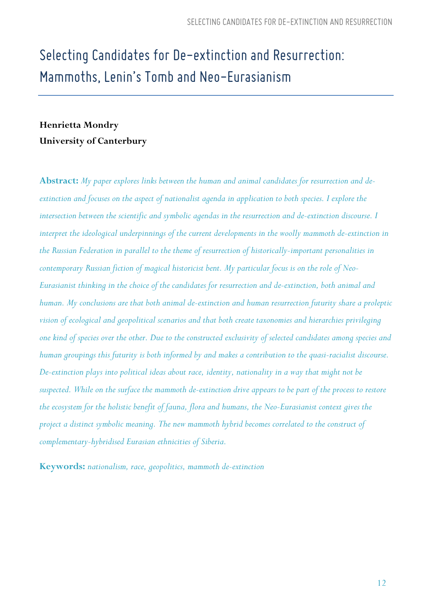# *Selecting Candidates for De-extinctionand Resurrection: Mammoths, Lenin's Tomb and Neo-Eurasianism*

## **Henrietta Mondry University of Canterbury**

**Abstract:** *My paper explores links between the human and animal candidates for resurrection and deextinction and focuses on the aspect of nationalist agenda in application to both species. I explore the intersection between the scientific and symbolic agendas in the resurrection and de-extinction discourse. I*  interpret the ideological underpinnings of the current developments in the woolly mammoth de-extinction in *the Russian Federation in parallel to the theme of resurrection of historically-important personalities in contemporary Russian fiction of magical historicist bent. My particular focus is on the role of Neo-Eurasianist thinking in the choice of the candidates for resurrection and de-extinction, both animal and human. My conclusions are that both animal de-extinction and human resurrection futurity share a proleptic vision of ecological and geopolitical scenarios and that both create taxonomies and hierarchies privileging one kind of species over the other. Due to the constructed exclusivity of selected candidates among species and human groupings this futurity is both informed by and makes a contribution to the quasi-racialist discourse. De-extinction plays into political ideas about race, identity, nationality in a way that might not be suspected. While on the surface the mammoth de-extinction drive appears to be part of the process to restore the ecosystem for the holistic benefit of fauna, flora and humans, the Neo-Eurasianist context gives the project a distinct symbolic meaning. The new mammoth hybrid becomes correlated to the construct of complementary-hybridised Eurasian ethnicities of Siberia.* 

**Keywords:** *nationalism, race, geopolitics, mammoth de-extinction*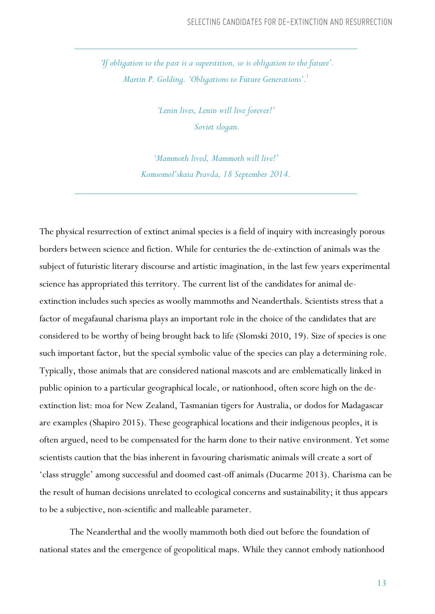*'If obligation to the past is a superstition, so is obligation to the future'. Martin P. Golding. 'Obligations to Future Generations'.1*

> *'Lenin lives, Lenin will live forever!' Soviet slogan.*

*'Mammoth lived, Mammoth will live!' Komsomol'skaia Pravda, 18 September 2014.*

The physical resurrection of extinct animal species is a field of inquiry with increasingly porous borders between science and fiction. While for centuries the de-extinction of animals was the subject of futuristic literary discourse and artistic imagination, in the last few years experimental science has appropriated this territory. The current list of the candidates for animal deextinction includes such species as woolly mammoths and Neanderthals. Scientists stress that a factor of megafaunal charisma plays an important role in the choice of the candidates that are considered to be worthy of being brought back to life (Slomski 2010, 19). Size of species is one such important factor, but the special symbolic value of the species can play a determining role. Typically, those animals that are considered national mascots and are emblematically linked in public opinion to a particular geographical locale, or nationhood, often score high on the deextinction list: moa for New Zealand, Tasmanian tigers for Australia, or dodos for Madagascar are examples (Shapiro 2015). These geographical locations and their indigenous peoples, it is often argued, need to be compensated for the harm done to their native environment. Yet some scientists caution that the bias inherent in favouring charismatic animals will create a sort of 'class struggle' among successful and doomed cast-off animals (Ducarme 2013). Charisma can be the result of human decisions unrelated to ecological concerns and sustainability; it thus appears to be a subjective, non-scientific and malleable parameter.

The Neanderthal and the woolly mammoth both died out before the foundation of national states and the emergence of geopolitical maps. While they cannot embody nationhood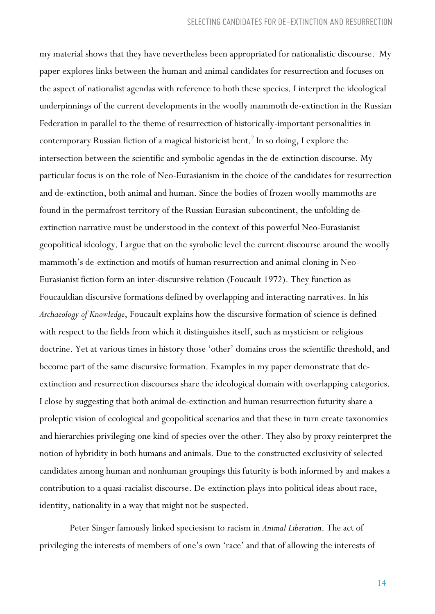my material shows that they have nevertheless been appropriated for nationalistic discourse. My paper explores links between the human and animal candidates for resurrection and focuses on the aspect of nationalist agendas with reference to both these species. I interpret the ideological underpinnings of the current developments in the woolly mammoth de-extinction in the Russian Federation in parallel to the theme of resurrection of historically-important personalities in contemporary Russian fiction of a magical historicist bent.<sup>2</sup> In so doing, I explore the intersection between the scientific and symbolic agendas in the de-extinction discourse. My particular focus is on the role of Neo-Eurasianism in the choice of the candidates for resurrection and de-extinction, both animal and human. Since the bodies of frozen woolly mammoths are found in the permafrost territory of the Russian Eurasian subcontinent, the unfolding deextinction narrative must be understood in the context of this powerful Neo-Eurasianist geopolitical ideology. I argue that on the symbolic level the current discourse around the woolly mammoth's de-extinction and motifs of human resurrection and animal cloning in Neo-Eurasianist fiction form an inter-discursive relation (Foucault 1972). They function as Foucauldian discursive formations defined by overlapping and interacting narratives. In his *Archaeology of Knowledge*, Foucault explains how the discursive formation of science is defined with respect to the fields from which it distinguishes itself, such as mysticism or religious doctrine. Yet at various times in history those 'other' domains cross the scientific threshold, and become part of the same discursive formation. Examples in my paper demonstrate that deextinction and resurrection discourses share the ideological domain with overlapping categories. I close by suggesting that both animal de-extinction and human resurrection futurity share a proleptic vision of ecological and geopolitical scenarios and that these in turn create taxonomies and hierarchies privileging one kind of species over the other. They also by proxy reinterpret the notion of hybridity in both humans and animals. Due to the constructed exclusivity of selected candidates among human and nonhuman groupings this futurity is both informed by and makes a contribution to a quasi-racialist discourse. De-extinction plays into political ideas about race, identity, nationality in a way that might not be suspected.

Peter Singer famously linked speciesism to racism in *Animal Liberation*. The act of privileging the interests of members of one's own 'race' and that of allowing the interests of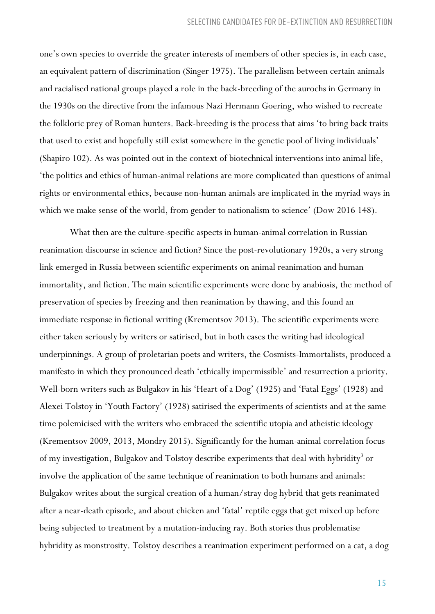one's own species to override the greater interests of members of other species is, in each case, an equivalent pattern of discrimination (Singer 1975). The parallelism between certain animals and racialised national groups played a role in the back-breeding of the aurochs in Germany in the 1930s on the directive from the infamous Nazi Hermann Goering, who wished to recreate the folkloric prey of Roman hunters. Back-breeding is the process that aims 'to bring back traits that used to exist and hopefully still exist somewhere in the genetic pool of living individuals' (Shapiro 102). As was pointed out in the context of biotechnical interventions into animal life, 'the politics and ethics of human-animal relations are more complicated than questions of animal rights or environmental ethics, because non-human animals are implicated in the myriad ways in which we make sense of the world, from gender to nationalism to science' (Dow 2016 148).

What then are the culture-specific aspects in human-animal correlation in Russian reanimation discourse in science and fiction? Since the post-revolutionary 1920s, a very strong link emerged in Russia between scientific experiments on animal reanimation and human immortality, and fiction. The main scientific experiments were done by anabiosis, the method of preservation of species by freezing and then reanimation by thawing, and this found an immediate response in fictional writing (Krementsov 2013). The scientific experiments were either taken seriously by writers or satirised, but in both cases the writing had ideological underpinnings. A group of proletarian poets and writers, the Cosmists-Immortalists, produced a manifesto in which they pronounced death 'ethically impermissible' and resurrection a priority. Well-born writers such as Bulgakov in his 'Heart of a Dog' (1925) and 'Fatal Eggs' (1928) and Alexei Tolstoy in 'Youth Factory' (1928) satirised the experiments of scientists and at the same time polemicised with the writers who embraced the scientific utopia and atheistic ideology (Krementsov 2009, 2013, Mondry 2015). Significantly for the human-animal correlation focus of my investigation, Bulgakov and Tolstoy describe experiments that deal with hybridity<sup>3</sup> or involve the application of the same technique of reanimation to both humans and animals: Bulgakov writes about the surgical creation of a human/stray dog hybrid that gets reanimated after a near-death episode, and about chicken and 'fatal' reptile eggs that get mixed up before being subjected to treatment by a mutation-inducing ray. Both stories thus problematise hybridity as monstrosity. Tolstoy describes a reanimation experiment performed on a cat, a dog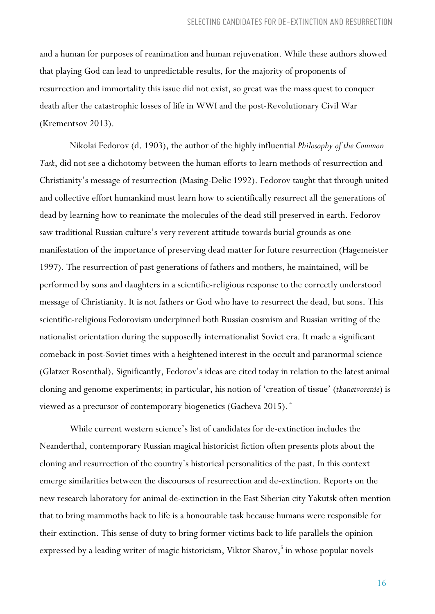and a human for purposes of reanimation and human rejuvenation. While these authors showed that playing God can lead to unpredictable results, for the majority of proponents of resurrection and immortality this issue did not exist, so great was the mass quest to conquer death after the catastrophic losses of life in WWI and the post-Revolutionary Civil War (Krementsov 2013).

Nikolai Fedorov (d. 1903), the author of the highly influential *Philosophy of the Common Task*, did not see a dichotomy between the human efforts to learn methods of resurrection and Christianity's message of resurrection (Masing-Delic 1992). Fedorov taught that through united and collective effort humankind must learn how to scientifically resurrect all the generations of dead by learning how to reanimate the molecules of the dead still preserved in earth. Fedorov saw traditional Russian culture's very reverent attitude towards burial grounds as one manifestation of the importance of preserving dead matter for future resurrection (Hagemeister 1997). The resurrection of past generations of fathers and mothers, he maintained, will be performed by sons and daughters in a scientific-religious response to the correctly understood message of Christianity. It is not fathers or God who have to resurrect the dead, but sons. This scientific-religious Fedorovism underpinned both Russian cosmism and Russian writing of the nationalist orientation during the supposedly internationalist Soviet era. It made a significant comeback in post-Soviet times with a heightened interest in the occult and paranormal science (Glatzer Rosenthal). Significantly, Fedorov's ideas are cited today in relation to the latest animal cloning and genome experiments; in particular, his notion of 'creation of tissue' (*tkanetvorenie*) is viewed as a precursor of contemporary biogenetics (Gacheva 2015). <sup>4</sup>

While current western science's list of candidates for de-extinction includes the Neanderthal, contemporary Russian magical historicist fiction often presents plots about the cloning and resurrection of the country's historical personalities of the past. In this context emerge similarities between the discourses of resurrection and de-extinction. Reports on the new research laboratory for animal de-extinction in the East Siberian city Yakutsk often mention that to bring mammoths back to life is a honourable task because humans were responsible for their extinction. This sense of duty to bring former victims back to life parallels the opinion expressed by a leading writer of magic historicism, Viktor Sharov,<sup>5</sup> in whose popular novels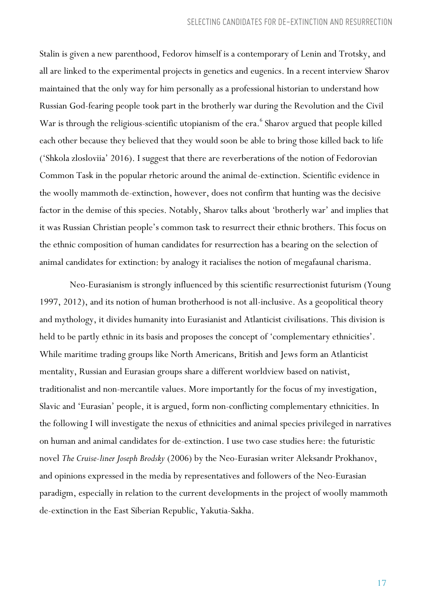Stalin is given a new parenthood, Fedorov himself is a contemporary of Lenin and Trotsky, and all are linked to the experimental projects in genetics and eugenics. In a recent interview Sharov maintained that the only way for him personally as a professional historian to understand how Russian God-fearing people took part in the brotherly war during the Revolution and the Civil War is through the religious-scientific utopianism of the era.<sup>6</sup> Sharov argued that people killed each other because they believed that they would soon be able to bring those killed back to life ('Shkola zlosloviia' 2016). I suggest that there are reverberations of the notion of Fedorovian Common Task in the popular rhetoric around the animal de-extinction. Scientific evidence in the woolly mammoth de-extinction, however, does not confirm that hunting was the decisive factor in the demise of this species. Notably, Sharov talks about 'brotherly war' and implies that it was Russian Christian people's common task to resurrect their ethnic brothers. This focus on the ethnic composition of human candidates for resurrection has a bearing on the selection of animal candidates for extinction: by analogy it racialises the notion of megafaunal charisma.

Neo-Eurasianism is strongly influenced by this scientific resurrectionist futurism (Young 1997, 2012), and its notion of human brotherhood is not all-inclusive. As a geopolitical theory and mythology, it divides humanity into Eurasianist and Atlanticist civilisations. This division is held to be partly ethnic in its basis and proposes the concept of 'complementary ethnicities'. While maritime trading groups like North Americans, British and Jews form an Atlanticist mentality, Russian and Eurasian groups share a different worldview based on nativist, traditionalist and non-mercantile values. More importantly for the focus of my investigation, Slavic and 'Eurasian' people, it is argued, form non-conflicting complementary ethnicities. In the following I will investigate the nexus of ethnicities and animal species privileged in narratives on human and animal candidates for de-extinction. I use two case studies here: the futuristic novel *The Cruise-liner Joseph Brodsky* (2006) by the Neo-Eurasian writer Aleksandr Prokhanov, and opinions expressed in the media by representatives and followers of the Neo-Eurasian paradigm, especially in relation to the current developments in the project of woolly mammoth de-extinction in the East Siberian Republic, Yakutia-Sakha.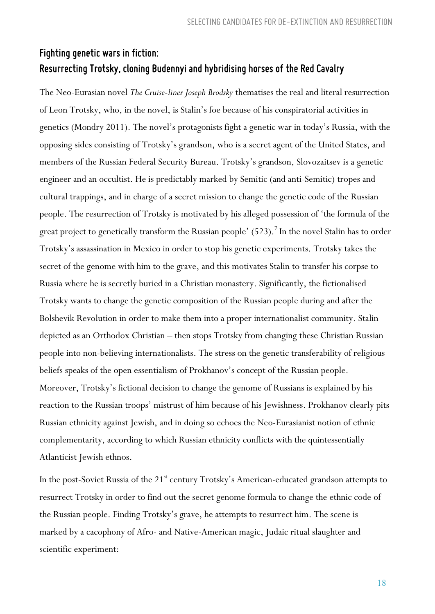## *Fighting genetic wars infiction: Resurrecting Trotsky, cloning Budennyi andhybridisinghorses of the Red Cavalry*

The Neo-Eurasian novel *The Cruise-liner Joseph Brodsky* thematises the real and literal resurrection of Leon Trotsky, who, in the novel, is Stalin's foe because of his conspiratorial activities in genetics (Mondry 2011). The novel's protagonists fight a genetic war in today's Russia, with the opposing sides consisting of Trotsky's grandson, who is a secret agent of the United States, and members of the Russian Federal Security Bureau. Trotsky's grandson, Slovozaitsev is a genetic engineer and an occultist. He is predictably marked by Semitic (and anti-Semitic) tropes and cultural trappings, and in charge of a secret mission to change the genetic code of the Russian people. The resurrection of Trotsky is motivated by his alleged possession of 'the formula of the great project to genetically transform the Russian people' (523).<sup>7</sup> In the novel Stalin has to order Trotsky's assassination in Mexico in order to stop his genetic experiments. Trotsky takes the secret of the genome with him to the grave, and this motivates Stalin to transfer his corpse to Russia where he is secretly buried in a Christian monastery. Significantly, the fictionalised Trotsky wants to change the genetic composition of the Russian people during and after the Bolshevik Revolution in order to make them into a proper internationalist community. Stalin – depicted as an Orthodox Christian – then stops Trotsky from changing these Christian Russian people into non-believing internationalists. The stress on the genetic transferability of religious beliefs speaks of the open essentialism of Prokhanov's concept of the Russian people. Moreover, Trotsky's fictional decision to change the genome of Russians is explained by his reaction to the Russian troops' mistrust of him because of his Jewishness. Prokhanov clearly pits Russian ethnicity against Jewish, and in doing so echoes the Neo-Eurasianist notion of ethnic complementarity, according to which Russian ethnicity conflicts with the quintessentially Atlanticist Jewish ethnos.

In the post-Soviet Russia of the 21<sup>st</sup> century Trotsky's American-educated grandson attempts to resurrect Trotsky in order to find out the secret genome formula to change the ethnic code of the Russian people. Finding Trotsky's grave, he attempts to resurrect him. The scene is marked by a cacophony of Afro- and Native-American magic, Judaic ritual slaughter and scientific experiment: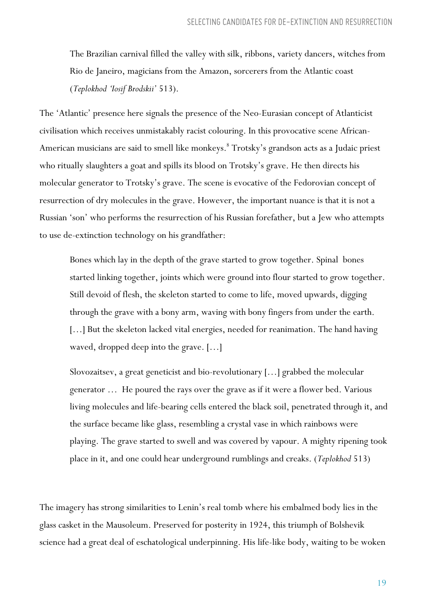The Brazilian carnival filled the valley with silk, ribbons, variety dancers, witches from Rio de Janeiro, magicians from the Amazon, sorcerers from the Atlantic coast (*Teplokhod 'Iosif Brodskii'* 513).

The 'Atlantic' presence here signals the presence of the Neo-Eurasian concept of Atlanticist civilisation which receives unmistakably racist colouring. In this provocative scene African-American musicians are said to smell like monkeys.<sup>8</sup> Trotsky's grandson acts as a Judaic priest who ritually slaughters a goat and spills its blood on Trotsky's grave. He then directs his molecular generator to Trotsky's grave. The scene is evocative of the Fedorovian concept of resurrection of dry molecules in the grave. However, the important nuance is that it is not a Russian 'son' who performs the resurrection of his Russian forefather, but a Jew who attempts to use de-extinction technology on his grandfather:

Bones which lay in the depth of the grave started to grow together. Spinal bones started linking together, joints which were ground into flour started to grow together. Still devoid of flesh, the skeleton started to come to life, moved upwards, digging through the grave with a bony arm, waving with bony fingers from under the earth. [...] But the skeleton lacked vital energies, needed for reanimation. The hand having waved, dropped deep into the grave. […]

Slovozaitsev, a great geneticist and bio-revolutionary […] grabbed the molecular generator … He poured the rays over the grave as if it were a flower bed. Various living molecules and life-bearing cells entered the black soil, penetrated through it, and the surface became like glass, resembling a crystal vase in which rainbows were playing. The grave started to swell and was covered by vapour. A mighty ripening took place in it, and one could hear underground rumblings and creaks. (*Teplokhod* 513)

The imagery has strong similarities to Lenin's real tomb where his embalmed body lies in the glass casket in the Mausoleum. Preserved for posterity in 1924, this triumph of Bolshevik science had a great deal of eschatological underpinning. His life-like body, waiting to be woken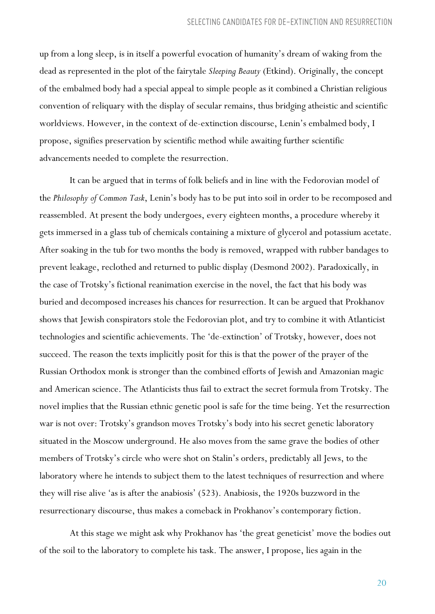up from a long sleep, is in itself a powerful evocation of humanity's dream of waking from the dead as represented in the plot of the fairytale *Sleeping Beauty* (Etkind). Originally, the concept of the embalmed body had a special appeal to simple people as it combined a Christian religious convention of reliquary with the display of secular remains, thus bridging atheistic and scientific worldviews. However, in the context of de-extinction discourse, Lenin's embalmed body, I propose, signifies preservation by scientific method while awaiting further scientific advancements needed to complete the resurrection.

It can be argued that in terms of folk beliefs and in line with the Fedorovian model of the *Philosophy of Common Task*, Lenin's body has to be put into soil in order to be recomposed and reassembled. At present the body undergoes, every eighteen months, a procedure whereby it gets immersed in a glass tub of chemicals containing a mixture of glycerol and potassium acetate. After soaking in the tub for two months the body is removed, wrapped with rubber bandages to prevent leakage, reclothed and returned to public display (Desmond 2002). Paradoxically, in the case of Trotsky's fictional reanimation exercise in the novel, the fact that his body was buried and decomposed increases his chances for resurrection. It can be argued that Prokhanov shows that Jewish conspirators stole the Fedorovian plot, and try to combine it with Atlanticist technologies and scientific achievements. The 'de-extinction' of Trotsky, however, does not succeed. The reason the texts implicitly posit for this is that the power of the prayer of the Russian Orthodox monk is stronger than the combined efforts of Jewish and Amazonian magic and American science. The Atlanticists thus fail to extract the secret formula from Trotsky. The novel implies that the Russian ethnic genetic pool is safe for the time being. Yet the resurrection war is not over: Trotsky's grandson moves Trotsky's body into his secret genetic laboratory situated in the Moscow underground. He also moves from the same grave the bodies of other members of Trotsky's circle who were shot on Stalin's orders, predictably all Jews, to the laboratory where he intends to subject them to the latest techniques of resurrection and where they will rise alive 'as is after the anabiosis' (523). Anabiosis, the 1920s buzzword in the resurrectionary discourse, thus makes a comeback in Prokhanov's contemporary fiction.

At this stage we might ask why Prokhanov has 'the great geneticist' move the bodies out of the soil to the laboratory to complete his task. The answer, I propose, lies again in the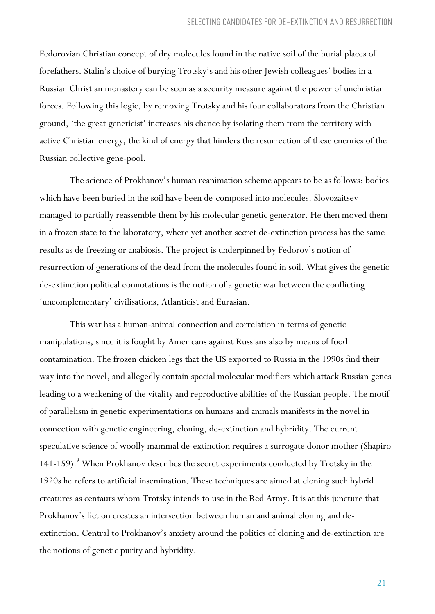Fedorovian Christian concept of dry molecules found in the native soil of the burial places of forefathers. Stalin's choice of burying Trotsky's and his other Jewish colleagues' bodies in a Russian Christian monastery can be seen as a security measure against the power of unchristian forces. Following this logic, by removing Trotsky and his four collaborators from the Christian ground, 'the great geneticist' increases his chance by isolating them from the territory with active Christian energy, the kind of energy that hinders the resurrection of these enemies of the Russian collective gene-pool.

The science of Prokhanov's human reanimation scheme appears to be as follows: bodies which have been buried in the soil have been de-composed into molecules. Slovozaitsev managed to partially reassemble them by his molecular genetic generator. He then moved them in a frozen state to the laboratory, where yet another secret de-extinction process has the same results as de-freezing or anabiosis. The project is underpinned by Fedorov's notion of resurrection of generations of the dead from the molecules found in soil. What gives the genetic de-extinction political connotations is the notion of a genetic war between the conflicting 'uncomplementary' civilisations, Atlanticist and Eurasian.

This war has a human-animal connection and correlation in terms of genetic manipulations, since it is fought by Americans against Russians also by means of food contamination. The frozen chicken legs that the US exported to Russia in the 1990s find their way into the novel, and allegedly contain special molecular modifiers which attack Russian genes leading to a weakening of the vitality and reproductive abilities of the Russian people. The motif of parallelism in genetic experimentations on humans and animals manifests in the novel in connection with genetic engineering, cloning, de-extinction and hybridity. The current speculative science of woolly mammal de-extinction requires a surrogate donor mother (Shapiro 141-159).<sup>9</sup> When Prokhanov describes the secret experiments conducted by Trotsky in the 1920s he refers to artificial insemination. These techniques are aimed at cloning such hybrid creatures as centaurs whom Trotsky intends to use in the Red Army. It is at this juncture that Prokhanov's fiction creates an intersection between human and animal cloning and deextinction. Central to Prokhanov's anxiety around the politics of cloning and de-extinction are the notions of genetic purity and hybridity.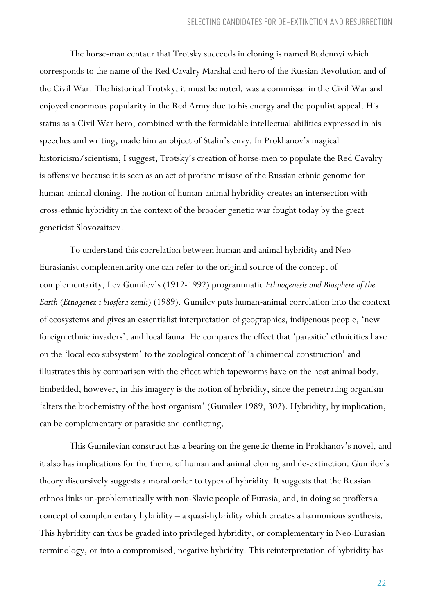The horse-man centaur that Trotsky succeeds in cloning is named Budennyi which corresponds to the name of the Red Cavalry Marshal and hero of the Russian Revolution and of the Civil War. The historical Trotsky, it must be noted, was a commissar in the Civil War and enjoyed enormous popularity in the Red Army due to his energy and the populist appeal. His status as a Civil War hero, combined with the formidable intellectual abilities expressed in his speeches and writing, made him an object of Stalin's envy. In Prokhanov's magical historicism/scientism, I suggest, Trotsky's creation of horse-men to populate the Red Cavalry is offensive because it is seen as an act of profane misuse of the Russian ethnic genome for human-animal cloning. The notion of human-animal hybridity creates an intersection with cross-ethnic hybridity in the context of the broader genetic war fought today by the great geneticist Slovozaitsev.

To understand this correlation between human and animal hybridity and Neo-Eurasianist complementarity one can refer to the original source of the concept of complementarity, Lev Gumilev's (1912-1992) programmatic *Ethnogenesis and Biosphere of the Earth* (*Etnogenez i biosfera zemli*) (1989). Gumilev puts human-animal correlation into the context of ecosystems and gives an essentialist interpretation of geographies, indigenous people, 'new foreign ethnic invaders', and local fauna. He compares the effect that 'parasitic' ethnicities have on the 'local eco subsystem' to the zoological concept of 'a chimerical construction' and illustrates this by comparison with the effect which tapeworms have on the host animal body. Embedded, however, in this imagery is the notion of hybridity, since the penetrating organism 'alters the biochemistry of the host organism' (Gumilev 1989, 302). Hybridity, by implication, can be complementary or parasitic and conflicting.

This Gumilevian construct has a bearing on the genetic theme in Prokhanov's novel, and it also has implications for the theme of human and animal cloning and de-extinction. Gumilev's theory discursively suggests a moral order to types of hybridity. It suggests that the Russian ethnos links un-problematically with non-Slavic people of Eurasia, and, in doing so proffers a concept of complementary hybridity – a quasi-hybridity which creates a harmonious synthesis. This hybridity can thus be graded into privileged hybridity, or complementary in Neo-Eurasian terminology, or into a compromised, negative hybridity. This reinterpretation of hybridity has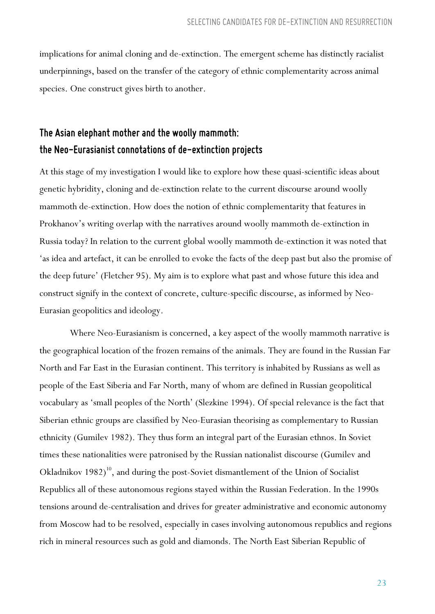implications for animal cloning and de-extinction. The emergent scheme has distinctly racialist underpinnings, based on the transfer of the category of ethnic complementarity across animal species. One construct gives birth to another.

## *The Asianelephant mother and the woolly mammoth: the Neo-Eurasianist connotations of de-extinctionprojects*

At this stage of my investigation I would like to explore how these quasi-scientific ideas about genetic hybridity, cloning and de-extinction relate to the current discourse around woolly mammoth de-extinction. How does the notion of ethnic complementarity that features in Prokhanov's writing overlap with the narratives around woolly mammoth de-extinction in Russia today? In relation to the current global woolly mammoth de-extinction it was noted that 'as idea and artefact, it can be enrolled to evoke the facts of the deep past but also the promise of the deep future' (Fletcher 95). My aim is to explore what past and whose future this idea and construct signify in the context of concrete, culture-specific discourse, as informed by Neo-Eurasian geopolitics and ideology.

Where Neo-Eurasianism is concerned, a key aspect of the woolly mammoth narrative is the geographical location of the frozen remains of the animals. They are found in the Russian Far North and Far East in the Eurasian continent. This territory is inhabited by Russians as well as people of the East Siberia and Far North, many of whom are defined in Russian geopolitical vocabulary as 'small peoples of the North' (Slezkine 1994). Of special relevance is the fact that Siberian ethnic groups are classified by Neo-Eurasian theorising as complementary to Russian ethnicity (Gumilev 1982). They thus form an integral part of the Eurasian ethnos. In Soviet times these nationalities were patronised by the Russian nationalist discourse (Gumilev and Okladnikov  $1982)^{10}$ , and during the post-Soviet dismantlement of the Union of Socialist Republics all of these autonomous regions stayed within the Russian Federation. In the 1990s tensions around de-centralisation and drives for greater administrative and economic autonomy from Moscow had to be resolved, especially in cases involving autonomous republics and regions rich in mineral resources such as gold and diamonds. The North East Siberian Republic of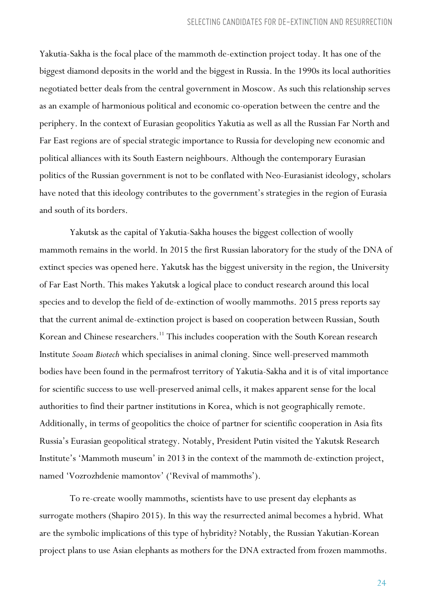Yakutia-Sakha is the focal place of the mammoth de-extinction project today. It has one of the biggest diamond deposits in the world and the biggest in Russia. In the 1990s its local authorities negotiated better deals from the central government in Moscow. As such this relationship serves as an example of harmonious political and economic co-operation between the centre and the periphery. In the context of Eurasian geopolitics Yakutia as well as all the Russian Far North and Far East regions are of special strategic importance to Russia for developing new economic and political alliances with its South Eastern neighbours. Although the contemporary Eurasian politics of the Russian government is not to be conflated with Neo-Eurasianist ideology, scholars have noted that this ideology contributes to the government's strategies in the region of Eurasia and south of its borders.

Yakutsk as the capital of Yakutia-Sakha houses the biggest collection of woolly mammoth remains in the world. In 2015 the first Russian laboratory for the study of the DNA of extinct species was opened here. Yakutsk has the biggest university in the region, the University of Far East North. This makes Yakutsk a logical place to conduct research around this local species and to develop the field of de-extinction of woolly mammoths. 2015 press reports say that the current animal de-extinction project is based on cooperation between Russian, South Korean and Chinese researchers.<sup>11</sup> This includes cooperation with the South Korean research Institute *Sooam Biotech* which specialises in animal cloning. Since well-preserved mammoth bodies have been found in the permafrost territory of Yakutia-Sakha and it is of vital importance for scientific success to use well-preserved animal cells, it makes apparent sense for the local authorities to find their partner institutions in Korea, which is not geographically remote. Additionally, in terms of geopolitics the choice of partner for scientific cooperation in Asia fits Russia's Eurasian geopolitical strategy. Notably, President Putin visited the Yakutsk Research Institute's 'Mammoth museum' in 2013 in the context of the mammoth de-extinction project, named 'Vozrozhdenie mamontov' ('Revival of mammoths').

To re-create woolly mammoths, scientists have to use present day elephants as surrogate mothers (Shapiro 2015). In this way the resurrected animal becomes a hybrid. What are the symbolic implications of this type of hybridity? Notably, the Russian Yakutian-Korean project plans to use Asian elephants as mothers for the DNA extracted from frozen mammoths.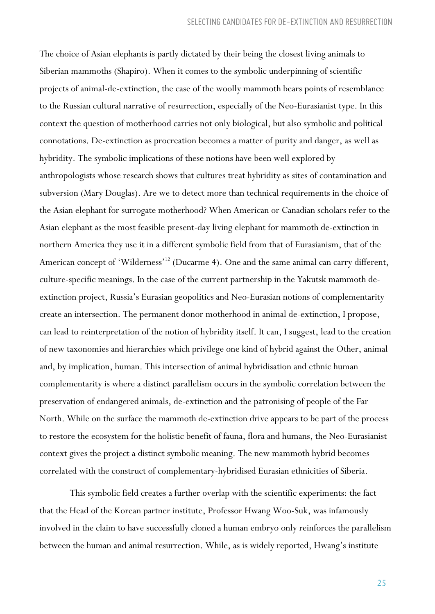The choice of Asian elephants is partly dictated by their being the closest living animals to Siberian mammoths (Shapiro). When it comes to the symbolic underpinning of scientific projects of animal-de-extinction, the case of the woolly mammoth bears points of resemblance to the Russian cultural narrative of resurrection, especially of the Neo-Eurasianist type. In this context the question of motherhood carries not only biological, but also symbolic and political connotations. De-extinction as procreation becomes a matter of purity and danger, as well as hybridity. The symbolic implications of these notions have been well explored by anthropologists whose research shows that cultures treat hybridity as sites of contamination and subversion (Mary Douglas). Are we to detect more than technical requirements in the choice of the Asian elephant for surrogate motherhood? When American or Canadian scholars refer to the Asian elephant as the most feasible present-day living elephant for mammoth de-extinction in northern America they use it in a different symbolic field from that of Eurasianism, that of the American concept of 'Wilderness'<sup>12</sup> (Ducarme 4). One and the same animal can carry different, culture-specific meanings. In the case of the current partnership in the Yakutsk mammoth deextinction project, Russia's Eurasian geopolitics and Neo-Eurasian notions of complementarity create an intersection. The permanent donor motherhood in animal de-extinction, I propose, can lead to reinterpretation of the notion of hybridity itself. It can, I suggest, lead to the creation of new taxonomies and hierarchies which privilege one kind of hybrid against the Other, animal and, by implication, human. This intersection of animal hybridisation and ethnic human complementarity is where a distinct parallelism occurs in the symbolic correlation between the preservation of endangered animals, de-extinction and the patronising of people of the Far North. While on the surface the mammoth de-extinction drive appears to be part of the process to restore the ecosystem for the holistic benefit of fauna, flora and humans, the Neo-Eurasianist context gives the project a distinct symbolic meaning. The new mammoth hybrid becomes correlated with the construct of complementary-hybridised Eurasian ethnicities of Siberia.

This symbolic field creates a further overlap with the scientific experiments: the fact that the Head of the Korean partner institute, Professor Hwang Woo-Suk, was infamously involved in the claim to have successfully cloned a human embryo only reinforces the parallelism between the human and animal resurrection. While, as is widely reported, Hwang's institute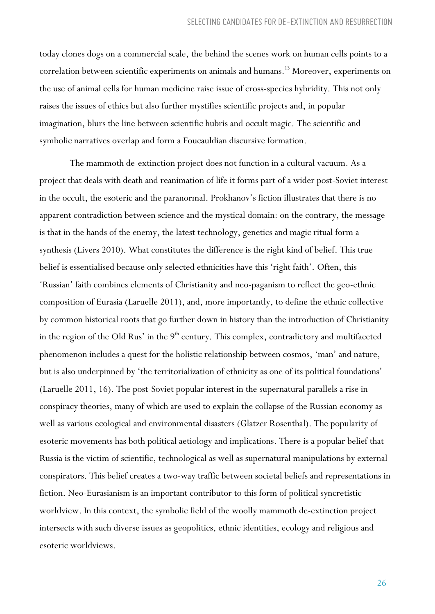today clones dogs on a commercial scale, the behind the scenes work on human cells points to a correlation between scientific experiments on animals and humans.<sup>13</sup> Moreover, experiments on the use of animal cells for human medicine raise issue of cross-species hybridity. This not only raises the issues of ethics but also further mystifies scientific projects and, in popular imagination, blurs the line between scientific hubris and occult magic. The scientific and symbolic narratives overlap and form a Foucauldian discursive formation.

The mammoth de-extinction project does not function in a cultural vacuum. As a project that deals with death and reanimation of life it forms part of a wider post-Soviet interest in the occult, the esoteric and the paranormal. Prokhanov's fiction illustrates that there is no apparent contradiction between science and the mystical domain: on the contrary, the message is that in the hands of the enemy, the latest technology, genetics and magic ritual form a synthesis (Livers 2010). What constitutes the difference is the right kind of belief. This true belief is essentialised because only selected ethnicities have this 'right faith'. Often, this 'Russian' faith combines elements of Christianity and neo-paganism to reflect the geo-ethnic composition of Eurasia (Laruelle 2011), and, more importantly, to define the ethnic collective by common historical roots that go further down in history than the introduction of Christianity in the region of the Old Rus' in the 9<sup>th</sup> century. This complex, contradictory and multifaceted phenomenon includes a quest for the holistic relationship between cosmos, 'man' and nature, but is also underpinned by 'the territorialization of ethnicity as one of its political foundations' (Laruelle 2011, 16). The post-Soviet popular interest in the supernatural parallels a rise in conspiracy theories, many of which are used to explain the collapse of the Russian economy as well as various ecological and environmental disasters (Glatzer Rosenthal). The popularity of esoteric movements has both political aetiology and implications. There is a popular belief that Russia is the victim of scientific, technological as well as supernatural manipulations by external conspirators. This belief creates a two-way traffic between societal beliefs and representations in fiction. Neo-Eurasianism is an important contributor to this form of political syncretistic worldview. In this context, the symbolic field of the woolly mammoth de-extinction project intersects with such diverse issues as geopolitics, ethnic identities, ecology and religious and esoteric worldviews.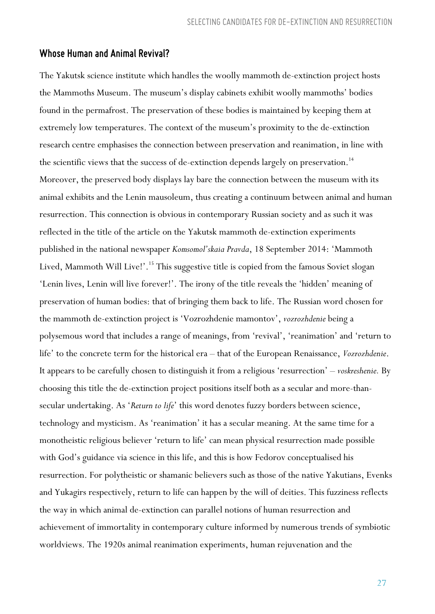#### *Whose Humanand Animal Revival?*

The Yakutsk science institute which handles the woolly mammoth de-extinction project hosts the Mammoths Museum. The museum's display cabinets exhibit woolly mammoths' bodies found in the permafrost. The preservation of these bodies is maintained by keeping them at extremely low temperatures. The context of the museum's proximity to the de-extinction research centre emphasises the connection between preservation and reanimation, in line with the scientific views that the success of de-extinction depends largely on preservation.<sup>14</sup> Moreover, the preserved body displays lay bare the connection between the museum with its animal exhibits and the Lenin mausoleum, thus creating a continuum between animal and human resurrection. This connection is obvious in contemporary Russian society and as such it was reflected in the title of the article on the Yakutsk mammoth de-extinction experiments published in the national newspaper *Komsomol'skaia Pravda*, 18 September 2014: 'Mammoth Lived, Mammoth Will Live!'.<sup>15</sup> This suggestive title is copied from the famous Soviet slogan 'Lenin lives, Lenin will live forever!'. The irony of the title reveals the 'hidden' meaning of preservation of human bodies: that of bringing them back to life. The Russian word chosen for the mammoth de-extinction project is 'Vozrozhdenie mamontov', *vozrozhdenie* being a polysemous word that includes a range of meanings, from 'revival', 'reanimation' and 'return to life' to the concrete term for the historical era – that of the European Renaissance, *Vozrozhdenie*. It appears to be carefully chosen to distinguish it from a religious 'resurrection' – *voskreshenie.* By choosing this title the de-extinction project positions itself both as a secular and more-thansecular undertaking. As '*Return to life*' this word denotes fuzzy borders between science, technology and mysticism. As 'reanimation' it has a secular meaning. At the same time for a monotheistic religious believer 'return to life' can mean physical resurrection made possible with God's guidance via science in this life, and this is how Fedorov conceptualised his resurrection. For polytheistic or shamanic believers such as those of the native Yakutians, Evenks and Yukagirs respectively, return to life can happen by the will of deities. This fuzziness reflects the way in which animal de-extinction can parallel notions of human resurrection and achievement of immortality in contemporary culture informed by numerous trends of symbiotic worldviews. The 1920s animal reanimation experiments, human rejuvenation and the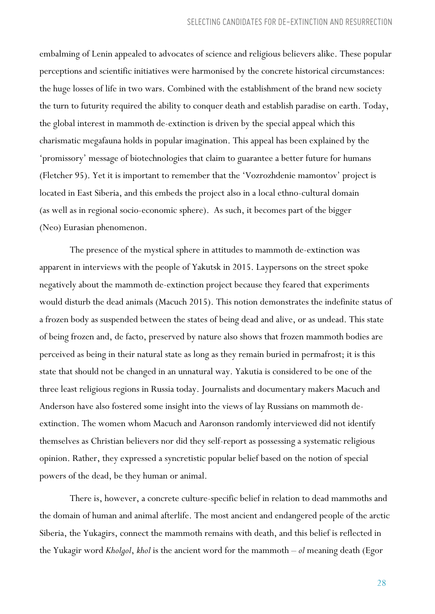embalming of Lenin appealed to advocates of science and religious believers alike. These popular perceptions and scientific initiatives were harmonised by the concrete historical circumstances: the huge losses of life in two wars. Combined with the establishment of the brand new society the turn to futurity required the ability to conquer death and establish paradise on earth. Today, the global interest in mammoth de-extinction is driven by the special appeal which this charismatic megafauna holds in popular imagination. This appeal has been explained by the 'promissory' message of biotechnologies that claim to guarantee a better future for humans (Fletcher 95). Yet it is important to remember that the 'Vozrozhdenie mamontov' project is located in East Siberia, and this embeds the project also in a local ethno-cultural domain (as well as in regional socio-economic sphere). As such, it becomes part of the bigger (Neo) Eurasian phenomenon.

The presence of the mystical sphere in attitudes to mammoth de-extinction was apparent in interviews with the people of Yakutsk in 2015. Laypersons on the street spoke negatively about the mammoth de-extinction project because they feared that experiments would disturb the dead animals (Macuch 2015). This notion demonstrates the indefinite status of a frozen body as suspended between the states of being dead and alive, or as undead. This state of being frozen and, de facto, preserved by nature also shows that frozen mammoth bodies are perceived as being in their natural state as long as they remain buried in permafrost; it is this state that should not be changed in an unnatural way. Yakutia is considered to be one of the three least religious regions in Russia today. Journalists and documentary makers Macuch and Anderson have also fostered some insight into the views of lay Russians on mammoth deextinction. The women whom Macuch and Aaronson randomly interviewed did not identify themselves as Christian believers nor did they self-report as possessing a systematic religious opinion. Rather, they expressed a syncretistic popular belief based on the notion of special powers of the dead, be they human or animal.

There is, however, a concrete culture-specific belief in relation to dead mammoths and the domain of human and animal afterlife. The most ancient and endangered people of the arctic Siberia, the Yukagirs, connect the mammoth remains with death, and this belief is reflected in the Yukagir word *Kholgol*, *khol* is the ancient word for the mammoth – *ol* meaning death (Egor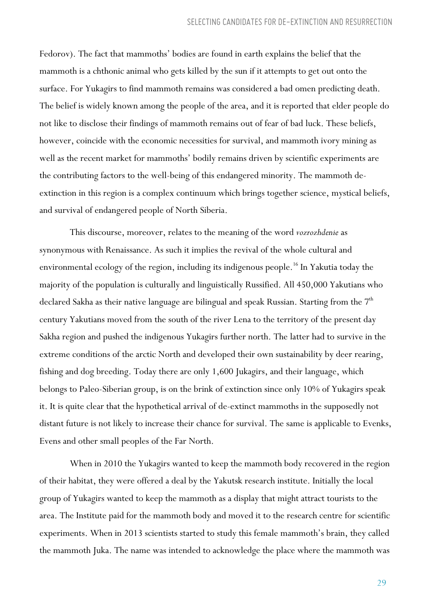Fedorov). The fact that mammoths' bodies are found in earth explains the belief that the mammoth is a chthonic animal who gets killed by the sun if it attempts to get out onto the surface. For Yukagirs to find mammoth remains was considered a bad omen predicting death. The belief is widely known among the people of the area, and it is reported that elder people do not like to disclose their findings of mammoth remains out of fear of bad luck. These beliefs, however, coincide with the economic necessities for survival, and mammoth ivory mining as well as the recent market for mammoths' bodily remains driven by scientific experiments are the contributing factors to the well-being of this endangered minority. The mammoth deextinction in this region is a complex continuum which brings together science, mystical beliefs, and survival of endangered people of North Siberia.

This discourse, moreover, relates to the meaning of the word *vozrozhdenie* as synonymous with Renaissance. As such it implies the revival of the whole cultural and environmental ecology of the region, including its indigenous people.<sup>16</sup> In Yakutia today the majority of the population is culturally and linguistically Russified. All 450,000 Yakutians who declared Sakha as their native language are bilingual and speak Russian. Starting from the  $7^{\rm th}$ century Yakutians moved from the south of the river Lena to the territory of the present day Sakha region and pushed the indigenous Yukagirs further north. The latter had to survive in the extreme conditions of the arctic North and developed their own sustainability by deer rearing, fishing and dog breeding. Today there are only 1,600 Jukagirs, and their language, which belongs to Paleo-Siberian group, is on the brink of extinction since only 10% of Yukagirs speak it. It is quite clear that the hypothetical arrival of de-extinct mammoths in the supposedly not distant future is not likely to increase their chance for survival. The same is applicable to Evenks, Evens and other small peoples of the Far North.

When in 2010 the Yukagirs wanted to keep the mammoth body recovered in the region of their habitat, they were offered a deal by the Yakutsk research institute. Initially the local group of Yukagirs wanted to keep the mammoth as a display that might attract tourists to the area. The Institute paid for the mammoth body and moved it to the research centre for scientific experiments. When in 2013 scientists started to study this female mammoth's brain, they called the mammoth Juka. The name was intended to acknowledge the place where the mammoth was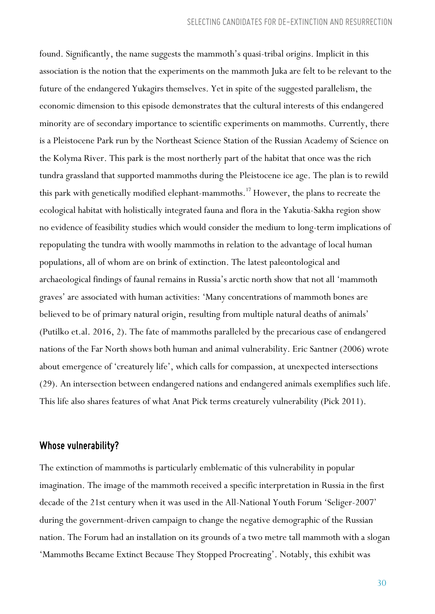found. Significantly, the name suggests the mammoth's quasi-tribal origins. Implicit in this association is the notion that the experiments on the mammoth Juka are felt to be relevant to the future of the endangered Yukagirs themselves. Yet in spite of the suggested parallelism, the economic dimension to this episode demonstrates that the cultural interests of this endangered minority are of secondary importance to scientific experiments on mammoths. Currently, there is a Pleistocene Park run by the Northeast Science Station of the Russian Academy of Science on the Kolyma River. This park is the most northerly part of the habitat that once was the rich tundra grassland that supported mammoths during the Pleistocene ice age. The plan is to rewild this park with genetically modified elephant-mammoths.<sup>17</sup> However, the plans to recreate the ecological habitat with holistically integrated fauna and flora in the Yakutia-Sakha region show no evidence of feasibility studies which would consider the medium to long-term implications of repopulating the tundra with woolly mammoths in relation to the advantage of local human populations, all of whom are on brink of extinction. The latest paleontological and archaeological findings of faunal remains in Russia's arctic north show that not all 'mammoth graves' are associated with human activities: 'Many concentrations of mammoth bones are believed to be of primary natural origin, resulting from multiple natural deaths of animals' (Putilko et.al. 2016, 2). The fate of mammoths paralleled by the precarious case of endangered nations of the Far North shows both human and animal vulnerability. Eric Santner (2006) wrote about emergence of 'creaturely life', which calls for compassion, at unexpected intersections (29). An intersection between endangered nations and endangered animals exemplifies such life. This life also shares features of what Anat Pick terms creaturely vulnerability (Pick 2011).

#### *Whose vulnerability?*

The extinction of mammoths is particularly emblematic of this vulnerability in popular imagination. The image of the mammoth received a specific interpretation in Russia in the first decade of the 21st century when it was used in the All-National Youth Forum 'Seliger-2007' during the government-driven campaign to change the negative demographic of the Russian nation. The Forum had an installation on its grounds of a two metre tall mammoth with a slogan 'Mammoths Became Extinct Because They Stopped Procreating'. Notably, this exhibit was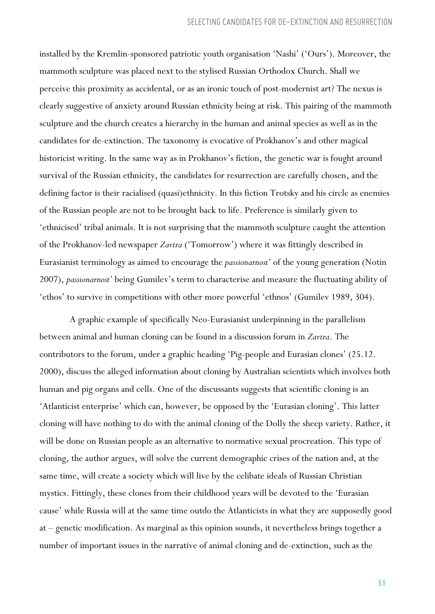installed by the Kremlin-sponsored patriotic youth organisation 'Nashi' ('Ours'). Moreover, the mammoth sculpture was placed next to the stylised Russian Orthodox Church. Shall we perceive this proximity as accidental, or as an ironic touch of post-modernist art? The nexus is clearly suggestive of anxiety around Russian ethnicity being at risk. This pairing of the mammoth sculpture and the church creates a hierarchy in the human and animal species as well as in the candidates for de-extinction. The taxonomy is evocative of Prokhanov's and other magical historicist writing. In the same way as in Prokhanov's fiction, the genetic war is fought around survival of the Russian ethnicity, the candidates for resurrection are carefully chosen, and the defining factor is their racialised (quasi)ethnicity. In this fiction Trotsky and his circle as enemies of the Russian people are not to be brought back to life. Preference is similarly given to 'ethnicised' tribal animals. It is not surprising that the mammoth sculpture caught the attention of the Prokhanov-led newspaper *Zavtra* ('Tomorrow') where it was fittingly described in Eurasianist terminology as aimed to encourage the *passionarnost'* of the young generation (Notin 2007), *passionarnost'* being Gumilev's term to characterise and measure the fluctuating ability of 'ethos' to survive in competitions with other more powerful 'ethnos' (Gumilev 1989, 304).

A graphic example of specifically Neo-Eurasianist underpinning in the parallelism between animal and human cloning can be found in a discussion forum in *Zavtra*. The contributors to the forum, under a graphic heading 'Pig-people and Eurasian clones' (25.12. 2000), discuss the alleged information about cloning by Australian scientists which involves both human and pig organs and cells. One of the discussants suggests that scientific cloning is an 'Atlanticist enterprise' which can, however, be opposed by the 'Eurasian cloning'. This latter cloning will have nothing to do with the animal cloning of the Dolly the sheep variety. Rather, it will be done on Russian people as an alternative to normative sexual procreation. This type of cloning, the author argues, will solve the current demographic crises of the nation and, at the same time, will create a society which will live by the celibate ideals of Russian Christian mystics. Fittingly, these clones from their childhood years will be devoted to the 'Eurasian cause' while Russia will at the same time outdo the Atlanticists in what they are supposedly good at – genetic modification. As marginal as this opinion sounds, it nevertheless brings together a number of important issues in the narrative of animal cloning and de-extinction, such as the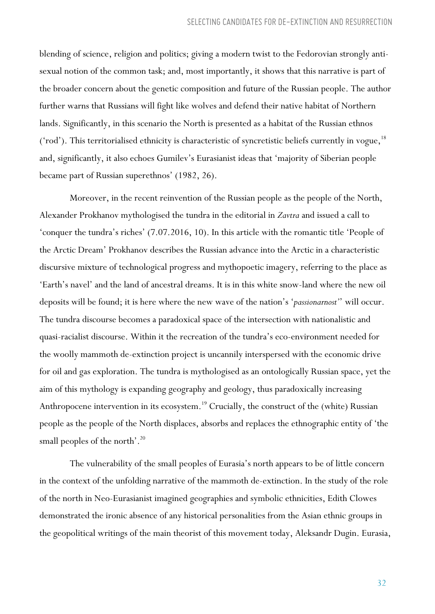blending of science, religion and politics; giving a modern twist to the Fedorovian strongly antisexual notion of the common task; and, most importantly, it shows that this narrative is part of the broader concern about the genetic composition and future of the Russian people. The author further warns that Russians will fight like wolves and defend their native habitat of Northern lands. Significantly, in this scenario the North is presented as a habitat of the Russian ethnos ('rod'). This territorialised ethnicity is characteristic of syncretistic beliefs currently in vogue,<sup>18</sup> and, significantly, it also echoes Gumilev's Eurasianist ideas that 'majority of Siberian people became part of Russian superethnos' (1982, 26).

Moreover, in the recent reinvention of the Russian people as the people of the North, Alexander Prokhanov mythologised the tundra in the editorial in *Zavtra* and issued a call to 'conquer the tundra's riches' (7.07.2016, 10). In this article with the romantic title 'People of the Arctic Dream' Prokhanov describes the Russian advance into the Arctic in a characteristic discursive mixture of technological progress and mythopoetic imagery, referring to the place as 'Earth's navel' and the land of ancestral dreams. It is in this white snow-land where the new oil deposits will be found; it is here where the new wave of the nation's '*passionarnost'*' will occur. The tundra discourse becomes a paradoxical space of the intersection with nationalistic and quasi-racialist discourse. Within it the recreation of the tundra's eco-environment needed for the woolly mammoth de-extinction project is uncannily interspersed with the economic drive for oil and gas exploration. The tundra is mythologised as an ontologically Russian space, yet the aim of this mythology is expanding geography and geology, thus paradoxically increasing Anthropocene intervention in its ecosystem.<sup>19</sup> Crucially, the construct of the (white) Russian people as the people of the North displaces, absorbs and replaces the ethnographic entity of 'the small peoples of the north'.<sup>20</sup>

The vulnerability of the small peoples of Eurasia's north appears to be of little concern in the context of the unfolding narrative of the mammoth de-extinction. In the study of the role of the north in Neo-Eurasianist imagined geographies and symbolic ethnicities, Edith Clowes demonstrated the ironic absence of any historical personalities from the Asian ethnic groups in the geopolitical writings of the main theorist of this movement today, Aleksandr Dugin. Eurasia,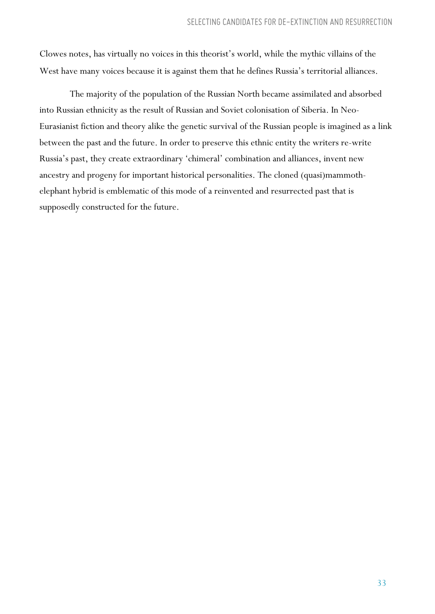Clowes notes, has virtually no voices in this theorist's world, while the mythic villains of the West have many voices because it is against them that he defines Russia's territorial alliances.

The majority of the population of the Russian North became assimilated and absorbed into Russian ethnicity as the result of Russian and Soviet colonisation of Siberia. In Neo-Eurasianist fiction and theory alike the genetic survival of the Russian people is imagined as a link between the past and the future. In order to preserve this ethnic entity the writers re-write Russia's past, they create extraordinary 'chimeral' combination and alliances, invent new ancestry and progeny for important historical personalities. The cloned (quasi)mammothelephant hybrid is emblematic of this mode of a reinvented and resurrected past that is supposedly constructed for the future.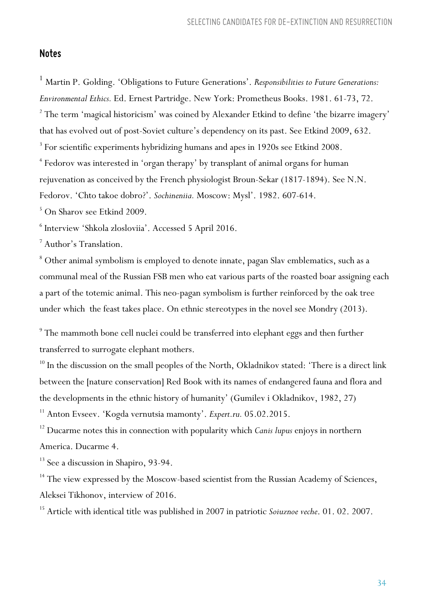## *Notes*

<sup>1</sup> Martin P. Golding. 'Obligations to Future Generations'. *Responsibilities to Future Generations: Environmental Ethics.* Ed. Ernest Partridge. New York: Prometheus Books. 1981. 61-73, 72. <sup>2</sup> The term 'magical historicism' was coined by Alexander Etkind to define 'the bizarre imagery' that has evolved out of post-Soviet culture's dependency on its past. See Etkind 2009, 632. <sup>3</sup> For scientific experiments hybridizing humans and apes in 1920s see Etkind 2008. <sup>4</sup> Fedorov was interested in 'organ therapy' by transplant of animal organs for human rejuvenation as conceived by the French physiologist Broun-Sekar (1817-1894). See N.N. Fedorov. 'Chto takoe dobro?'. *Sochineniia.* Moscow: Mysl'. 1982. 607-614. <sup>5</sup> On Sharov see Etkind 2009.

<sup>6</sup> Interview 'Shkola zlosloviia'. Accessed 5 April 2016.

<sup>7</sup> Author's Translation.

<sup>8</sup> Other animal symbolism is employed to denote innate, pagan Slav emblematics, such as a communal meal of the Russian FSB men who eat various parts of the roasted boar assigning each a part of the totemic animal. This neo-pagan symbolism is further reinforced by the oak tree under which the feast takes place. On ethnic stereotypes in the novel see Mondry (2013).

<sup>9</sup> The mammoth bone cell nuclei could be transferred into elephant eggs and then further transferred to surrogate elephant mothers.

<sup>10</sup> In the discussion on the small peoples of the North, Okladnikov stated: 'There is a direct link between the [nature conservation] Red Book with its names of endangered fauna and flora and the developments in the ethnic history of humanity' (Gumilev i Okladnikov, 1982, 27)

<sup>11</sup> Anton Evseev. 'Kogda vernutsia mamonty'. *Expert.ru.* 05.02.2015.

<sup>12</sup> Ducarme notes this in connection with popularity which *Canis lupus* enjoys in northern America. Ducarme 4.

<sup>13</sup> See a discussion in Shapiro, 93-94.

<sup>14</sup> The view expressed by the Moscow-based scientist from the Russian Academy of Sciences, Aleksei Tikhonov, interview of 2016.

<sup>15</sup> Article with identical title was published in 2007 in patriotic *Soiuznoe veche*. 01. 02. 2007.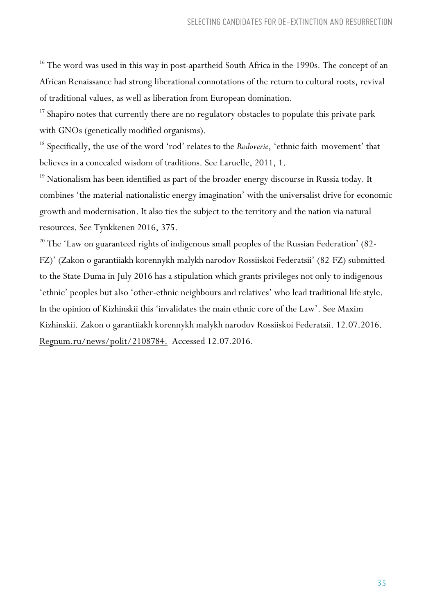<sup>16</sup> The word was used in this way in post-apartheid South Africa in the 1990s. The concept of an African Renaissance had strong liberational connotations of the return to cultural roots, revival of traditional values, as well as liberation from European domination.

<sup>17</sup> Shapiro notes that currently there are no regulatory obstacles to populate this private park with GNOs (genetically modified organisms).

<sup>18</sup> Specifically, the use of the word 'rod' relates to the *Rodoverie*, 'ethnic faith movement' that believes in a concealed wisdom of traditions. See Laruelle, 2011, 1.

<sup>19</sup> Nationalism has been identified as part of the broader energy discourse in Russia today. It combines 'the material-nationalistic energy imagination' with the universalist drive for economic growth and modernisation. It also ties the subject to the territory and the nation via natural resources. See Tynkkenen 2016, 375.

<sup>20</sup> The 'Law on guaranteed rights of indigenous small peoples of the Russian Federation' (82-FZ)' (Zakon o garantiiakh korennykh malykh narodov Rossiiskoi Federatsii' (82-FZ) submitted to the State Duma in July 2016 has a stipulation which grants privileges not only to indigenous 'ethnic' peoples but also 'other-ethnic neighbours and relatives' who lead traditional life style. In the opinion of Kizhinskii this 'invalidates the main ethnic core of the Law'. See Maxim Kizhinskii. Zakon o garantiiakh korennykh malykh narodov Rossiiskoi Federatsii. 12.07.2016. Regnum.ru/news/polit/2108784. Accessed 12.07.2016.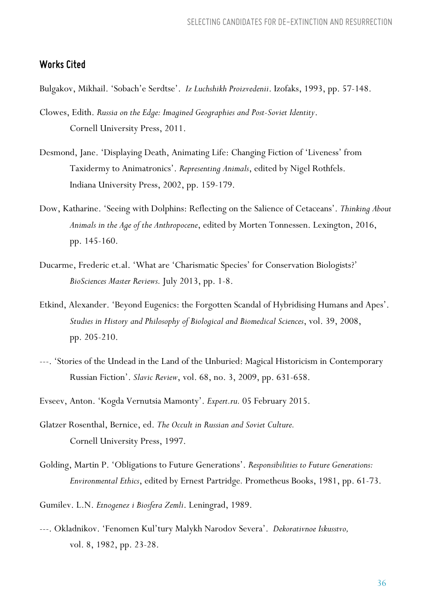### *Works Cited*

Bulgakov, Mikhail. 'Sobach'e Serdtse'. *Iz Luchshikh Proizvedenii*. Izofaks, 1993, pp. 57-148.

- Clowes, Edith. *Russia on the Edge: Imagined Geographies and Post-Soviet Identity*. Cornell University Press, 2011.
- Desmond, Jane. 'Displaying Death, Animating Life: Changing Fiction of 'Liveness' from Taxidermy to Animatronics'. *Representing Animals*, edited by Nigel Rothfels. Indiana University Press, 2002, pp. 159-179.
- Dow, Katharine. 'Seeing with Dolphins: Reflecting on the Salience of Cetaceans'. *Thinking About Animals in the Age of the Anthropocene*, edited by Morten Tonnessen. Lexington, 2016, pp. 145-160.
- Ducarme, Frederic et.al. 'What are 'Charismatic Species' for Conservation Biologists?' *BioSciences Master Reviews.* July 2013, pp. 1-8.
- Etkind, Alexander. 'Beyond Eugenics: the Forgotten Scandal of Hybridising Humans and Apes'. *Studies in History and Philosophy of Biological and Biomedical Sciences*, vol. 39, 2008, pp. 205-210.
- ---. 'Stories of the Undead in the Land of the Unburied: Magical Historicism in Contemporary Russian Fiction'. *Slavic Review*, vol. 68, no. 3, 2009, pp. 631-658.
- Evseev, Anton. 'Kogda Vernutsia Mamonty'. *Expert.ru.* 05 February 2015.
- Glatzer Rosenthal, Bernice, ed. *The Occult in Russian and Soviet Culture.* Cornell University Press, 1997.
- Golding, Martin P. 'Obligations to Future Generations'. *Responsibilities to Future Generations: Environmental Ethics*, edited by Ernest Partridge*.* Prometheus Books, 1981, pp. 61-73.
- Gumilev. L.N. *Etnogenez i Biosfera Zemli*. Leningrad, 1989.
- ---. Okladnikov. 'Fenomen Kul'tury Malykh Narodov Severa'. *Dekorativnoe Iskusstvo,* vol. 8, 1982, pp. 23-28.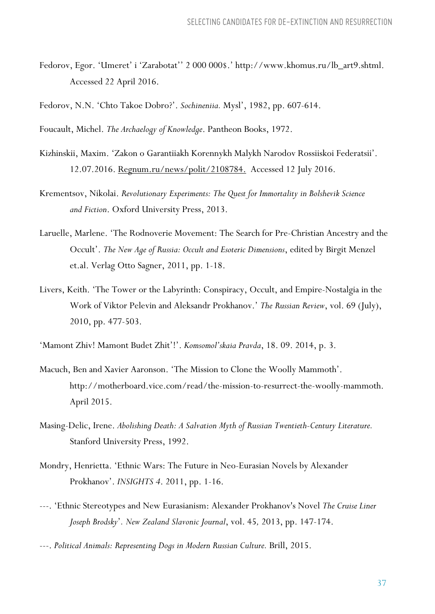Fedorov, Egor. 'Umeret' i 'Zarabotat'' 2 000 000\$.' http://www.khomus.ru/lb\_art9.shtml. Accessed 22 April 2016.

Fedorov, N.N. 'Chto Takoe Dobro?'. *Sochineniia.* Mysl', 1982, pp. 607-614.

Foucault, Michel. *The Archaelogy of Knowledge*. Pantheon Books, 1972.

- Kizhinskii, Maxim. 'Zakon o Garantiiakh Korennykh Malykh Narodov Rossiiskoi Federatsii'. 12.07.2016. Regnum.ru/news/polit/2108784. Accessed 12 July 2016.
- Krementsov, Nikolai. *Revolutionary Experiments: The Quest for Immortality in Bolshevik Science and Fiction*. Oxford University Press, 2013.
- Laruelle, Marlene. 'The Rodnoverie Movement: The Search for Pre-Christian Ancestry and the Occult'. *The New Age of Russia: Occult and Esoteric Dimensions*, edited by Birgit Menzel et.al. Verlag Otto Sagner, 2011, pp. 1-18.
- Livers, Keith. 'The Tower or the Labyrinth: Conspiracy, Occult, and Empire-Nostalgia in the Work of Viktor Pelevin and Aleksandr Prokhanov.' *The Russian Review*, vol. 69 (July), 2010, pp. 477-503.

'Mamont Zhiv! Mamont Budet Zhit'!'. *Komsomol'skaia Pravda*, 18. 09. 2014, p. 3.

- Macuch, Ben and Xavier Aaronson. 'The Mission to Clone the Woolly Mammoth'. http://motherboard.vice.com/read/the-mission-to-resurrect-the-woolly-mammoth. April 2015.
- Masing-Delic, Irene. *Abolishing Death: A Salvation Myth of Russian Twentieth-Century Literature.* Stanford University Press, 1992.
- Mondry, Henrietta. 'Ethnic Wars: The Future in Neo-Eurasian Novels by Alexander Prokhanov'. *INSIGHTS 4*. 2011, pp. 1-16.
- ---. 'Ethnic Stereotypes and New Eurasianism: Alexander Prokhanov's Novel *The Cruise Liner Joseph Brodsky*'*. New Zealand Slavonic Journal*, vol. 45*,* 2013, pp. 147-174.
- ---. *Political Animals: Representing Dogs in Modern Russian Culture.* Brill, 2015.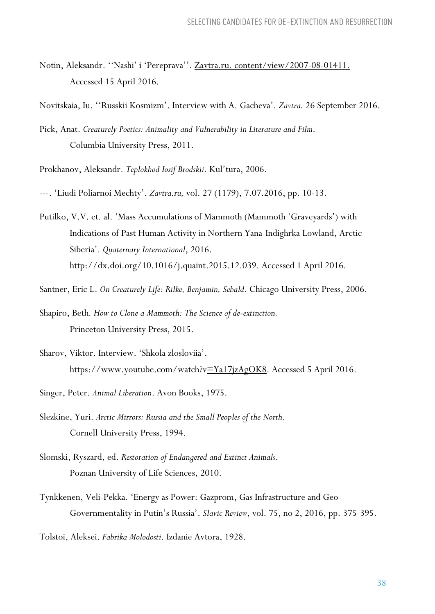- Notin, Aleksandr. "Nashi' i 'Pereprava''. Zavtra.ru. content/view/2007-08-01411. Accessed 15 April 2016.
- Novitskaia, Iu. ''Russkii Kosmizm'. Interview with A. Gacheva'. *Zavtra.* 26 September 2016.
- Pick, Anat. *Creaturely Poetics: Animality and Vulnerability in Literature and Film*. Columbia University Press, 2011.

Prokhanov, Aleksandr. *Teplokhod Iosif Brodskii*. Kul'tura, 2006.

- ---. 'Liudi Poliarnoi Mechty'. *Zavtra.ru,* vol. 27 (1179), 7.07.2016, pp. 10-13.
- Putilko, V.V. et. al. 'Mass Accumulations of Mammoth (Mammoth 'Graveyards') with Indications of Past Human Activity in Northern Yana-Indighrka Lowland, Arctic Siberia'. *Quaternary International*, 2016. http://dx.doi.org/10.1016/j.quaint.2015.12.039. Accessed 1 April 2016.
- Santner, Eric L. *On Creaturely Life: Rilke, Benjamin, Sebald*. Chicago University Press, 2006.
- Shapiro, Beth*. How to Clone a Mammoth: The Science of de-extinction.* Princeton University Press, 2015.
- Sharov, Viktor. Interview. 'Shkola zlosloviia'. https://www.youtube.com/watch?v=Ya17jzAgOK8. Accessed 5 April 2016.
- Singer, Peter. *Animal Liberation*. Avon Books, 1975.
- Slezkine, Yuri. *Arctic Mirrors: Russia and the Small Peoples of the North*. Cornell University Press, 1994.
- Slomski, Ryszard, ed. *Restoration of Endangered and Extinct Animals.*  Poznan University of Life Sciences, 2010.
- Tynkkenen, Veli-Pekka. 'Energy as Power: Gazprom, Gas Infrastructure and Geo-Governmentality in Putin's Russia'. *Slavic Review*, vol. 75, no 2, 2016, pp. 375-395.
- Tolstoi, Aleksei. *Fabrika Molodosti*. Izdanie Avtora, 1928.